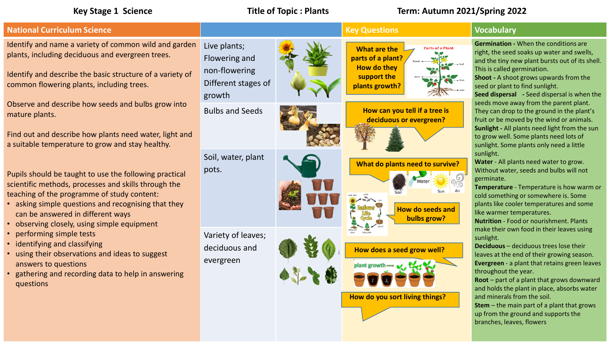## **Key Stage 1 Science Title of Topic : Plants Term: Autumn 2021/Spring 2022**



**Stem** – the main part of a plant that grows up from the ground and supports the branches, leaves, flowers

and minerals from the soil.

**How do you sort living things?**